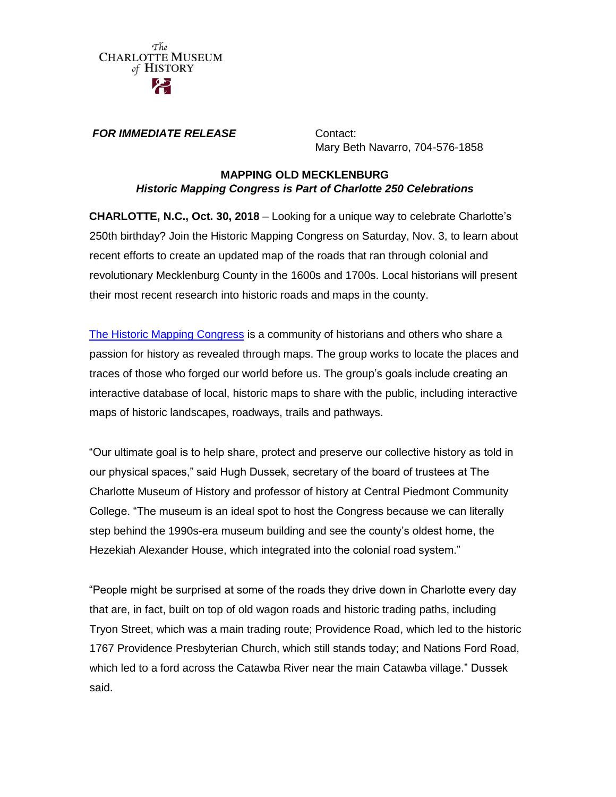

**FOR IMMEDIATE RELEASE Contact:** 

Mary Beth Navarro, 704-576-1858

## **MAPPING OLD MECKLENBURG** *Historic Mapping Congress is Part of Charlotte 250 Celebrations*

**CHARLOTTE, N.C., Oct. 30, 2018** – Looking for a unique way to celebrate Charlotte's 250th birthday? Join the Historic Mapping Congress on Saturday, Nov. 3, to learn about recent efforts to create an updated map of the roads that ran through colonial and revolutionary Mecklenburg County in the 1600s and 1700s. Local historians will present their most recent research into historic roads and maps in the county.

[The Historic Mapping Congress](https://www.historicmappingcongress.org/) is a community of historians and others who share a passion for history as revealed through maps. The group works to locate the places and traces of those who forged our world before us. The group's goals include creating an interactive database of local, historic maps to share with the public, including interactive maps of historic landscapes, roadways, trails and pathways.

"Our ultimate goal is to help share, protect and preserve our collective history as told in our physical spaces," said Hugh Dussek, secretary of the board of trustees at The Charlotte Museum of History and professor of history at Central Piedmont Community College. "The museum is an ideal spot to host the Congress because we can literally step behind the 1990s-era museum building and see the county's oldest home, the Hezekiah Alexander House, which integrated into the colonial road system."

"People might be surprised at some of the roads they drive down in Charlotte every day that are, in fact, built on top of old wagon roads and historic trading paths, including Tryon Street, which was a main trading route; Providence Road, which led to the historic 1767 Providence Presbyterian Church, which still stands today; and Nations Ford Road, which led to a ford across the Catawba River near the main Catawba village." Dussek said.